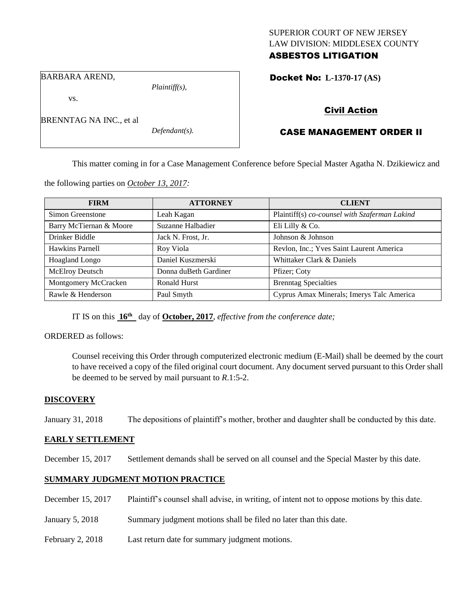### SUPERIOR COURT OF NEW JERSEY LAW DIVISION: MIDDLESEX COUNTY ASBESTOS LITIGATION

Docket No: **L-1370-17 (AS)** 

BARBARA AREND,

BRENNTAG NA INC., et al

vs.

*Plaintiff(s),*

*Defendant(s).*

Civil Action

# CASE MANAGEMENT ORDER II

This matter coming in for a Case Management Conference before Special Master Agatha N. Dzikiewicz and

the following parties on *October 13, 2017:*

| <b>FIRM</b>             | <b>ATTORNEY</b>       | <b>CLIENT</b>                                 |
|-------------------------|-----------------------|-----------------------------------------------|
| Simon Greenstone        | Leah Kagan            | Plaintiff(s) co-counsel with Szaferman Lakind |
| Barry McTiernan & Moore | Suzanne Halbadier     | Eli Lilly & Co.                               |
| Drinker Biddle          | Jack N. Frost, Jr.    | Johnson & Johnson                             |
| Hawkins Parnell         | Roy Viola             | Revlon, Inc.; Yves Saint Laurent America      |
| Hoagland Longo          | Daniel Kuszmerski     | Whittaker Clark & Daniels                     |
| <b>McElroy Deutsch</b>  | Donna duBeth Gardiner | Pfizer; Coty                                  |
| Montgomery McCracken    | Ronald Hurst          | <b>Brenntag Specialties</b>                   |
| Rawle & Henderson       | Paul Smyth            | Cyprus Amax Minerals; Imerys Talc America     |

IT IS on this **16th** day of **October, 2017**, *effective from the conference date;*

#### ORDERED as follows:

Counsel receiving this Order through computerized electronic medium (E-Mail) shall be deemed by the court to have received a copy of the filed original court document. Any document served pursuant to this Order shall be deemed to be served by mail pursuant to *R*.1:5-2.

### **DISCOVERY**

January 31, 2018 The depositions of plaintiff's mother, brother and daughter shall be conducted by this date.

### **EARLY SETTLEMENT**

December 15, 2017 Settlement demands shall be served on all counsel and the Special Master by this date.

## **SUMMARY JUDGMENT MOTION PRACTICE**

- December 15, 2017 Plaintiff's counsel shall advise, in writing, of intent not to oppose motions by this date.
- January 5, 2018 Summary judgment motions shall be filed no later than this date.
- February 2, 2018 Last return date for summary judgment motions.